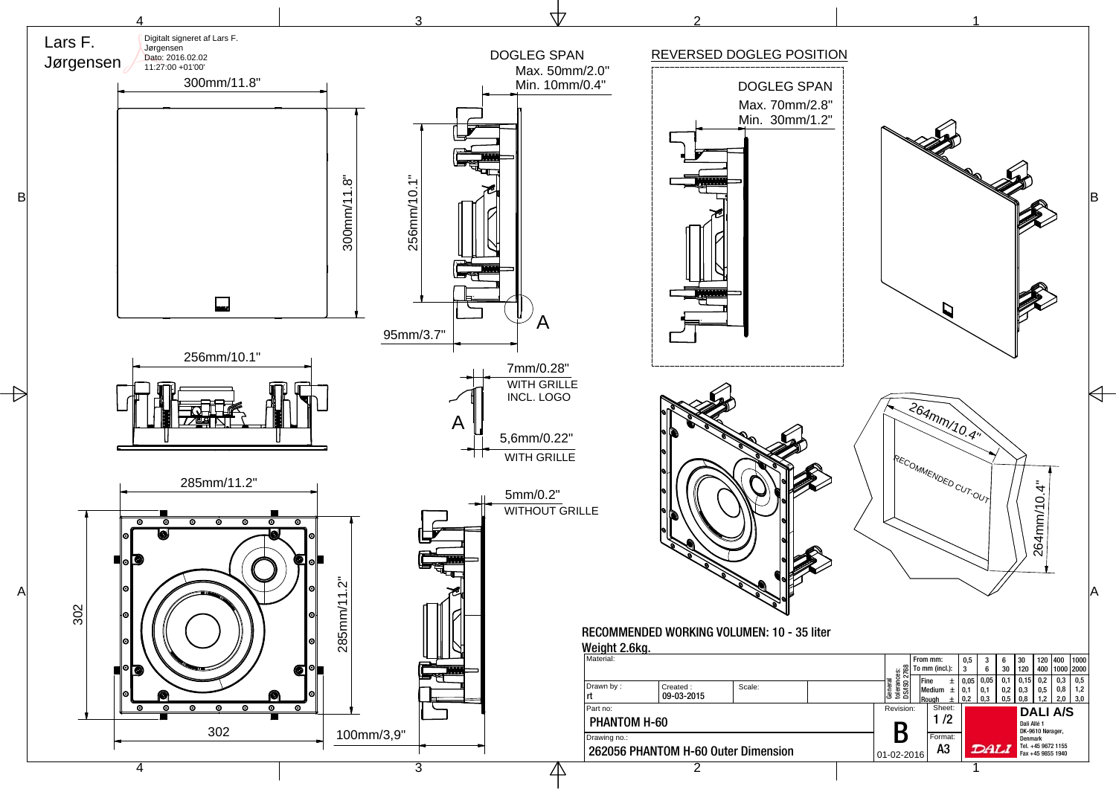